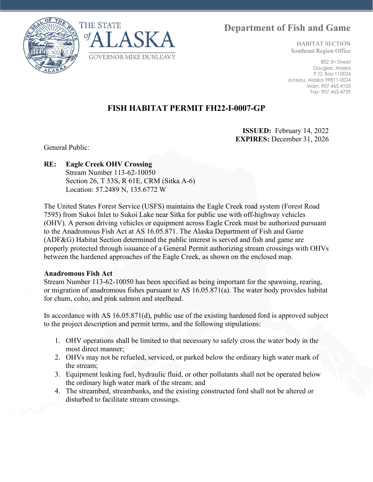**Department of Fish and Game**





HABITAT SECTION Southeast Region Office

802 3rd Street Douglas, Alaska P.O. Box 110024 Juneau, Alaska 99811-0024 Main: 907.465.4105 Fax: 907.465.4759

## **FISH HABITAT PERMIT FH22-I-0007-GP**

**ISSUED:** February 14, 2022 **EXPIRES:** December 31, 2026

General Public:

## **RE: Eagle Creek OHV Crossing**

Stream Number 113-62-10050 Section 26, T 53S, R 61E, CRM (Sitka A-6) Location: 57.2489 N, 135.6772 W

The United States Forest Service (USFS) maintains the Eagle Creek road system (Forest Road 7595) from Sukoi Inlet to Sukoi Lake near Sitka for public use with off-highway vehicles (OHV). A person driving vehicles or equipment across Eagle Creek must be authorized pursuant to the Anadromous Fish Act at AS 16.05.871. The Alaska Department of Fish and Game (ADF&G) Habitat Section determined the public interest is served and fish and game are properly protected through issuance of a General Permit authorizing stream crossings with OHVs between the hardened approaches of the Eagle Creek, as shown on the enclosed map.

## **Anadromous Fish Act**

Stream Number 113-62-10050 has been specified as being important for the spawning, rearing, or migration of anadromous fishes pursuant to AS 16.05.871(a). The water body provides habitat for chum, coho, and pink salmon and steelhead.

In accordance with AS 16.05.871(d), public use of the existing hardened ford is approved subject to the project description and permit terms, and the following stipulations:

- 1. OHV operations shall be limited to that necessary to safely cross the water body in the most direct manner;
- 2. OHVs may not be refueled, serviced, or parked below the ordinary high water mark of the stream;
- 3. Equipment leaking fuel, hydraulic fluid, or other pollutants shall not be operated below the ordinary high water mark of the stream; and
- 4. The streambed, streambanks, and the existing constructed ford shall not be altered or disturbed to facilitate stream crossings.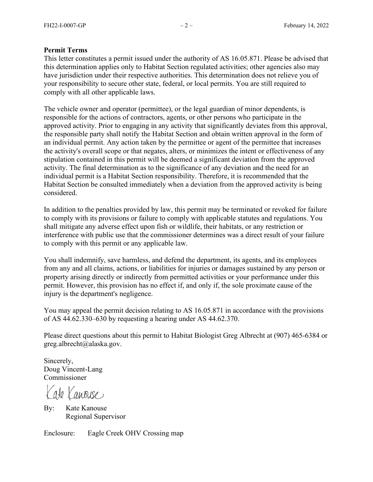## **Permit Terms**

This letter constitutes a permit issued under the authority of AS 16.05.871. Please be advised that this determination applies only to Habitat Section regulated activities; other agencies also may have jurisdiction under their respective authorities. This determination does not relieve you of your responsibility to secure other state, federal, or local permits. You are still required to comply with all other applicable laws.

The vehicle owner and operator (permittee), or the legal guardian of minor dependents, is responsible for the actions of contractors, agents, or other persons who participate in the approved activity. Prior to engaging in any activity that significantly deviates from this approval, the responsible party shall notify the Habitat Section and obtain written approval in the form of an individual permit. Any action taken by the permittee or agent of the permittee that increases the activity's overall scope or that negates, alters, or minimizes the intent or effectiveness of any stipulation contained in this permit will be deemed a significant deviation from the approved activity. The final determination as to the significance of any deviation and the need for an individual permit is a Habitat Section responsibility. Therefore, it is recommended that the Habitat Section be consulted immediately when a deviation from the approved activity is being considered.

In addition to the penalties provided by law, this permit may be terminated or revoked for failure to comply with its provisions or failure to comply with applicable statutes and regulations. You shall mitigate any adverse effect upon fish or wildlife, their habitats, or any restriction or interference with public use that the commissioner determines was a direct result of your failure to comply with this permit or any applicable law.

You shall indemnify, save harmless, and defend the department, its agents, and its employees from any and all claims, actions, or liabilities for injuries or damages sustained by any person or property arising directly or indirectly from permitted activities or your performance under this permit. However, this provision has no effect if, and only if, the sole proximate cause of the injury is the department's negligence.

You may appeal the permit decision relating to AS 16.05.871 in accordance with the provisions of AS 44.62.330–630 by requesting a hearing under AS 44.62.370.

Please direct questions about this permit to Habitat Biologist Greg Albrecht at (907) 465-6384 or greg.albrecht@alaska.gov.

Sincerely, Doug Vincent-Lang Commissioner

ate Canouse

By: Kate Kanouse Regional Supervisor

Enclosure: Eagle Creek OHV Crossing map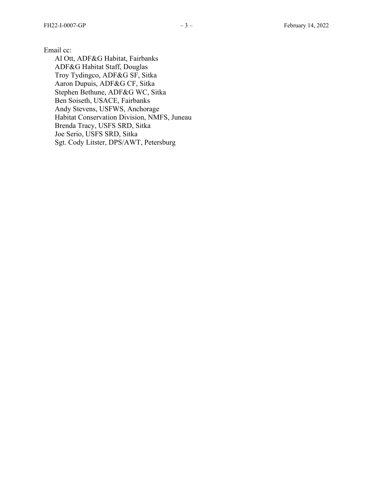Email cc:

Al Ott, ADF&G Habitat, Fairbanks ADF&G Habitat Staff, Douglas Troy Tydingco, ADF&G SF, Sitka Aaron Dupuis, ADF&G CF, Sitka Stephen Bethune, ADF&G WC, Sitka Ben Soiseth, USACE, Fairbanks Andy Stevens, USFWS, Anchorage Habitat Conservation Division, NMFS, Juneau Brenda Tracy, USFS SRD, Sitka Joe Serio, USFS SRD, Sitka Sgt. Cody Litster, DPS/AWT, Petersbur g